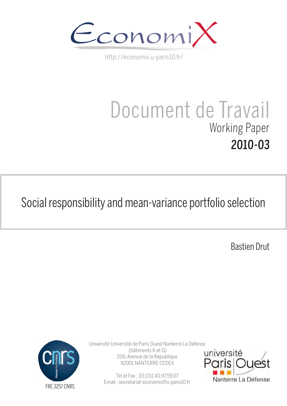

http://economix.u-paris10.fr/

# Document de Travail Working Paper 2010-03

# Social responsibility and mean-variance portfolio selection

Bastien Drut



Université Université de Paris Ouest Nanterre La Défense (bâtiments K et G) 200, Avenue de la République 92001 NANTERRE CEDEX

> Tél et Fax : 33.(0)1.40.97.59.07 Email : secretariat-economix@u-paris10.fr

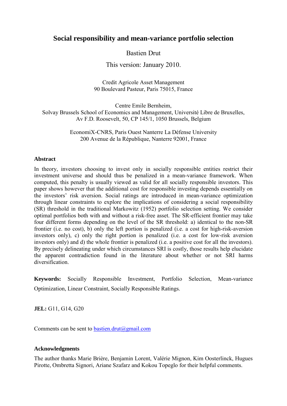# **Social responsibility and mean-variance portfolio selection**

# Bastien Drut

This version: January 2010.

Credit Agricole Asset Management 90 Boulevard Pasteur, Paris 75015, France

Centre Emile Bernheim, Solvay Brussels School of Economics and Management, Université Libre de Bruxelles, Av F.D. Roosevelt, 50, CP 145/1, 1050 Brussels, Belgium

> EconomiX-CNRS, Paris Ouest Nanterre La Défense University 200 Avenue de la République, Nanterre 92001, France

#### **Abstract**

In theory, investors choosing to invest only in socially responsible entities restrict their investment universe and should thus be penalized in a mean-variance framework. When computed, this penalty is usually viewed as valid for all socially responsible investors. This paper shows however that the additional cost for responsible investing depends essentially on the investors' risk aversion. Social ratings are introduced in mean-variance optimization through linear constraints to explore the implications of considering a social responsibility (SR) threshold in the traditional Markowitz (1952) portfolio selection setting. We consider optimal portfolios both with and without a risk-free asset. The SR-efficient frontier may take four different forms depending on the level of the SR threshold: a) identical to the non-SR frontier (i.e. no cost), b) only the left portion is penalized (i.e. a cost for high-risk-aversion investors only), c) only the right portion is penalized (i.e. a cost for low-risk aversion investors only) and d) the whole frontier is penalized (i.e. a positive cost for all the investors). By precisely delineating under which circumstances SRI is costly, those results help elucidate the apparent contradiction found in the literature about whether or not SRI harms diversification.

**Keywords:** Socially Responsible Investment, Portfolio Selection, Mean-variance Optimization, Linear Constraint, Socially Responsible Ratings.

**JEL:** G11, G14, G20

Comments can be sent to [bastien.drut@gmail.com](mailto:bastien.drut@gmail.com)

#### **Acknowledgments**

The author thanks Marie Brière, Benjamin Lorent, Valérie Mignon, Kim Oosterlinck, Hugues Pirotte, Ombretta Signori, Ariane Szafarz and Kokou Topeglo for their helpful comments.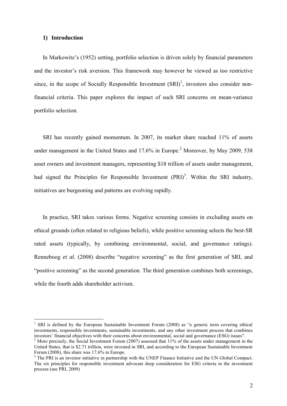#### **1) Introduction**

<u>.</u>

In Markowitz's (1952) setting, portfolio selection is driven solely by financial parameters and the investor's risk aversion. This framework may however be viewed as too restrictive since, in the scope of Socially Responsible Investment  $(SRI)^1$ , investors also consider nonfinancial criteria. This paper explores the impact of such SRI concerns on mean-variance portfolio selection.

SRI has recently gained momentum. In 2007, its market share reached 11% of assets under management in the United States and  $17.6\%$  in Europe.<sup>2</sup> Moreover, by May 2009, 538 asset owners and investment managers, representing \$18 trillion of assets under management, had signed the Principles for Responsible Investment  $(PRI)^3$ . Within the SRI industry, initiatives are burgeoning and patterns are evolving rapidly.

In practice, SRI takes various forms. Negative screening consists in excluding assets on ethical grounds (often related to religious beliefs), while positive screening selects the best-SR rated assets (typically, by combining environmental, social, and governance ratings). Renneboog *et al.* (2008) describe "negative screening" as the first generation of SRI, and "positive screening" as the second generation. The third generation combines both screenings, while the fourth adds shareholder activism.

<sup>1</sup> SRI is defined by the European Sustainable Investment Forum (2008) as "a generic term covering ethical investments, responsible investments, sustainable investments, and any other investment process that combines investors' financial objectives with their concerns about environmental, social and governance (ESG) issues".

 $2$  More precisely, the Social Investment Forum (2007) assessed that 11% of the assets under management in the United States, that is \$2.71 trillion, were invested in SRI, and according to the European Sustainable Investment Forum (2008), this share was 17.6% in Europe.

<sup>&</sup>lt;sup>3</sup> The PRI is an investor initiative in partnership with the UNEP Finance Initiative and the UN Global Compact. The six principles for responsible investment advocate deep consideration for ESG criteria in the investment process (see PRI, 2009)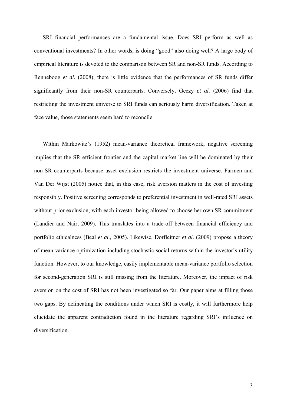SRI financial performances are a fundamental issue. Does SRI perform as well as conventional investments? In other words, is doing "good" also doing well? A large body of empirical literature is devoted to the comparison between SR and non-SR funds. According to Renneboog *et al.* (2008), there is little evidence that the performances of SR funds differ significantly from their non-SR counterparts. Conversely, Geczy *et al.* (2006) find that restricting the investment universe to SRI funds can seriously harm diversification. Taken at face value, those statements seem hard to reconcile.

Within Markowitz's (1952) mean-variance theoretical framework, negative screening implies that the SR efficient frontier and the capital market line will be dominated by their non-SR counterparts because asset exclusion restricts the investment universe. Farmen and Van Der Wijst (2005) notice that, in this case, risk aversion matters in the cost of investing responsibly. Positive screening corresponds to preferential investment in well-rated SRI assets without prior exclusion, with each investor being allowed to choose her own SR commitment (Landier and Nair, 2009). This translates into a trade-off between financial efficiency and portfolio ethicalness (Beal *et al.,* 2005). Likewise, Dorfleitner *et al.* (2009) propose a theory of mean-variance optimization including stochastic social returns within the investor's utility function. However, to our knowledge, easily implementable mean-variance portfolio selection for second-generation SRI is still missing from the literature. Moreover, the impact of risk aversion on the cost of SRI has not been investigated so far. Our paper aims at filling those two gaps. By delineating the conditions under which SRI is costly, it will furthermore help elucidate the apparent contradiction found in the literature regarding SRI's influence on diversification.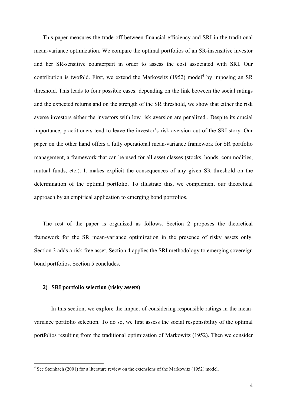This paper measures the trade-off between financial efficiency and SRI in the traditional mean-variance optimization. We compare the optimal portfolios of an SR-insensitive investor and her SR-sensitive counterpart in order to assess the cost associated with SRI. Our contribution is twofold. First, we extend the Markowitz  $(1952)$  model<sup>4</sup> by imposing an SR threshold. This leads to four possible cases: depending on the link between the social ratings and the expected returns and on the strength of the SR threshold, we show that either the risk averse investors either the investors with low risk aversion are penalized.. Despite its crucial importance, practitioners tend to leave the investor's risk aversion out of the SRI story. Our paper on the other hand offers a fully operational mean-variance framework for SR portfolio management, a framework that can be used for all asset classes (stocks, bonds, commodities, mutual funds, etc.). It makes explicit the consequences of any given SR threshold on the determination of the optimal portfolio. To illustrate this, we complement our theoretical approach by an empirical application to emerging bond portfolios.

The rest of the paper is organized as follows. Section 2 proposes the theoretical framework for the SR mean-variance optimization in the presence of risky assets only. Section 3 adds a risk-free asset. Section 4 applies the SRI methodology to emerging sovereign bond portfolios. Section 5 concludes.

#### **2) SRI portfolio selection (risky assets)**

In this section, we explore the impact of considering responsible ratings in the meanvariance portfolio selection. To do so, we first assess the social responsibility of the optimal portfolios resulting from the traditional optimization of Markowitz (1952). Then we consider

 4 See Steinbach (2001) for a literature review on the extensions of the Markowitz (1952) model.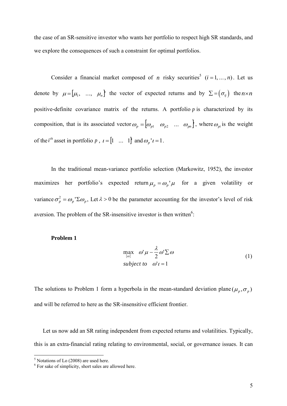the case of an SR-sensitive investor who wants her portfolio to respect high SR standards, and we explore the consequences of such a constraint for optimal portfolios.

Consider a financial market composed of *n* risky securities<sup>5</sup>  $(i = 1, ..., n)$ . Let us denote by  $\mu = [\mu_1, ..., \mu_n]$  th  $\mu = [\mu_1, \dots, \mu_n]$  the vector of expected returns and by  $\Sigma = (\sigma_{ij})$  the  $n \times n$ positive-definite covariance matrix of the returns. A portfolio p is characterized by its composition, that is its associated vector  $\omega_p = [\omega_{p1} \quad \omega_{p2} \quad ... \quad \omega_{pn}]$ , where  $\omega_{pi}$  is the weight of the *i*<sup>th</sup> asset in portfolio p,  $i = [1 \dots 1]$  and  $\omega_p' i = 1$ .

In the traditional mean-variance portfolio selection (Markowitz, 1952), the investor maximizes her portfolio's expected return  $\mu_p = \omega_p' \mu$  for a given volatility or variance  $\sigma_p^2 = \omega_p' \Sigma \omega_p$ , Let  $\lambda > 0$  be the parameter accounting for the investor's level of risk aversion. The problem of the SR-insensitive investor is then written<sup>6</sup>:

#### **Problem 1**

$$
\max_{\{\omega\}} \omega' \mu - \frac{\lambda}{2} \omega' \sum \omega
$$
  
subject to  $\omega' \iota = 1$  (1)

The solutions to Problem 1 form a hyperbola in the mean-standard deviation plane  $(\mu_p, \sigma_p)$ and will be referred to here as the SR-insensitive efficient frontier.

Let us now add an SR rating independent from expected returns and volatilities. Typically, this is an extra-financial rating relating to environmental, social, or governance issues. It can

 5 Notations of Lo (2008) are used here.

<sup>&</sup>lt;sup>6</sup> For sake of simplicity, short sales are allowed here.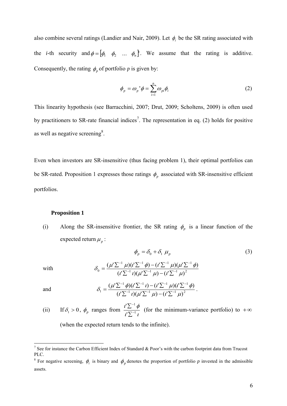also combine several ratings (Landier and Nair, 2009). Let  $\phi_i$  be the SR rating associated with the *i*-th security and  $\phi = [\phi_1 \ \phi_2 \ \dots \ \phi_n]$ . We assume that the rating is additive. Consequently, the rating  $\phi_p$  of portfolio p is given by:

$$
\phi_p = \omega_p \phi = \sum_{i=1}^n \omega_{pi} \phi_i \tag{2}
$$

This linearity hypothesis (see Barracchini, 2007; Drut, 2009; Scholtens, 2009) is often used by practitioners to SR-rate financial indices<sup>7</sup>. The representation in eq. (2) holds for positive as well as negative screening<sup>8</sup>.

Even when investors are SR-insensitive (thus facing problem 1), their optimal portfolios can be SR-rated. Proposition 1 expresses those ratings  $\phi_p$  associated with SR-insensitive efficient portfolios.

#### **Proposition 1**

(i) Along the SR-insensitive frontier, the SR rating  $\phi_p$  is a linear function of the expected return  $\mu_p$  :

$$
\phi_p = \delta_0 + \delta_1 \mu_p
$$
\n
$$
\delta_0 = \frac{(\mu' \Sigma^{-1} \mu)(i' \Sigma^{-1} \phi) - (i' \Sigma^{-1} \mu)(\mu' \Sigma^{-1} \phi)}{(i' \Sigma^{-1} \mu)(\mu' \Sigma^{-1} \mu) - (i' \Sigma^{-1} \mu)^2}
$$
\n(3)

and

$$
\delta_1 = \frac{(\mu' \Sigma^{-1} \phi)(i' \Sigma^{-1} \iota) - (i' \Sigma^{-1} \mu)(i' \Sigma^{-1} \phi)}{(i' \Sigma^{-1} \iota)(\mu' \Sigma^{-1} \mu) - (i' \Sigma^{-1} \mu)^2}.
$$

(ii) If 
$$
\delta_1 > 0
$$
,  $\phi_p$  ranges from  $\frac{t'\sum^{-1}\phi}{t'\sum^{-1}t}$  (for the minimum-variance portfolio) to  $+\infty$ 

(when the expected return tends to the infinite).

<sup>&</sup>lt;sup>7</sup> See for instance the Carbon Efficient Index of Standard & Poor's with the carbon footprint data from Trucost PLC.

<sup>&</sup>lt;sup>8</sup> For negative screening,  $\phi_i$  is binary and  $\phi_p$  denotes the proportion of portfolio p invested in the admissible assets.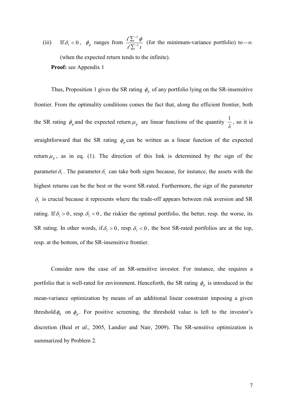$(iii)$  $\delta_1 < 0$ ,  $\phi_p$  ranges from  $\frac{i \sum \phi_p}{i \sum_{i=1}^{n} i}$  $i^{\prime}\sum^{-1}\phi$ 1 1 ' $\frac{1}{\sqrt{2}}$  $\overline{a}$  $\sum$ Σ (for the minimum-variance portfolio) to  $-\infty$ (when the expected return tends to the infinite). **Proof:** see Appendix 1

Thus, Proposition 1 gives the SR rating  $\phi_p$  of any portfolio lying on the SR-insensitive frontier. From the optimality conditions comes the fact that, along the efficient frontier, both the SR rating  $\phi_p$  and the expected return  $\mu_p$  are linear functions of the quantity  $\frac{1}{\lambda}$  $\frac{1}{2}$ , so it is straightforward that the SR rating  $\phi_p$  can be written as a linear function of the expected return  $\mu_p$ , as in eq. (1). The direction of this link is determined by the sign of the parameter  $\delta_1$ . The parameter  $\delta_1$  can take both signs because, for instance, the assets with the highest returns can be the best or the worst SR-rated. Furthermore, the sign of the parameter  $\delta_1$  is crucial because it represents where the trade-off appears between risk aversion and SR rating. If  $\delta_1 > 0$ , resp.  $\delta_1 < 0$ , the riskier the optimal portfolio, the better, resp. the worse, its SR rating. In other words, if  $\delta_1 > 0$ , resp.  $\delta_1 < 0$ , the best SR-rated portfolios are at the top, resp. at the bottom, of the SR-insensitive frontier.

Consider now the case of an SR-sensitive investor. For instance, she requires a portfolio that is well-rated for environment. Henceforth, the SR rating  $\phi_p$  is introduced in the mean-variance optimization by means of an additional linear constraint imposing a given threshold  $\phi_0$  on  $\phi_p$ . For positive screening, the threshold value is left to the investor's discretion (Beal *et al.,* 2005, Landier and Nair, 2009). The SR-sensitive optimization is summarized by Problem 2.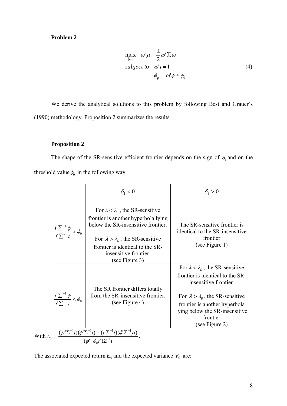# **Problem 2**

$$
\max_{\{\omega\}} \omega' \mu - \frac{\lambda}{2} \omega' \Sigma \omega
$$
  
subject to  $\omega' \iota = 1$   

$$
\phi_p = \omega' \phi \ge \phi_0
$$
 (4)

We derive the analytical solutions to this problem by following Best and Grauer's (1990) methodology. Proposition 2 summarizes the results.

#### **Proposition 2**

The shape of the SR-sensitive efficient frontier depends on the sign of  $\delta_1$  and on the threshold value  $\phi_0$  in the following way:

|                                                                                                                                                      | $\delta_{1}$ < 0                                                                                                                                                                                                                                         | $\delta_1 > 0$                                                                                                                                                                                                                                             |  |  |  |
|------------------------------------------------------------------------------------------------------------------------------------------------------|----------------------------------------------------------------------------------------------------------------------------------------------------------------------------------------------------------------------------------------------------------|------------------------------------------------------------------------------------------------------------------------------------------------------------------------------------------------------------------------------------------------------------|--|--|--|
| $\frac{i'\sum^{-1}\phi}{i'\sum^{-1}i} > \phi_0$                                                                                                      | For $\lambda < \lambda_0$ , the SR-sensitive<br>frontier is another hyperbola lying<br>below the SR-insensitive frontier.<br>For $\lambda > \lambda_0$ , the SR-sensitive<br>frontier is identical to the SR-<br>insensitive frontier.<br>(see Figure 3) | The SR-sensitive frontier is<br>identical to the SR-insensitive<br>frontier<br>(see Figure 1)                                                                                                                                                              |  |  |  |
| $\frac{i'\sum^{-1}\phi}{i'\sum^{-1}i} < \phi_0$                                                                                                      | The SR frontier differs totally<br>from the SR-insensitive frontier.<br>(see Figure 4)                                                                                                                                                                   | For $\lambda < \lambda_0$ , the SR-sensitive<br>frontier is identical to the SR-<br>insensitive frontier.<br>For $\lambda > \lambda_0$ , the SR-sensitive<br>frontier is another hyperbola<br>lying below the SR-insensitive<br>frontier<br>(see Figure 2) |  |  |  |
| With $\lambda_0 = \frac{(\mu' \Sigma^{-1} t)(\phi' \Sigma^{-1} t) - (t' \Sigma^{-1} t)(\phi' \Sigma^{-1} \mu)}{(\phi' - \phi_0 t') \Sigma^{-1} t}$ . |                                                                                                                                                                                                                                                          |                                                                                                                                                                                                                                                            |  |  |  |

The associated expected return  $E_0$  and the expected variance  $V_0$  are: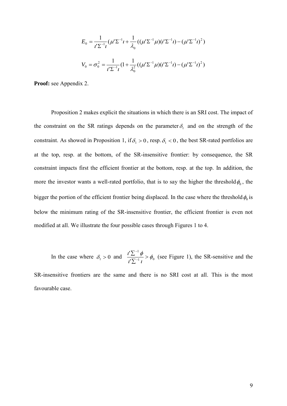$$
E_0 = \frac{1}{t^{\prime} \Sigma^{-1} t} (\mu^{\prime} \Sigma^{-1} t + \frac{1}{\lambda_0} ((\mu^{\prime} \Sigma^{-1} \mu) (t^{\prime} \Sigma^{-1} t) - (\mu^{\prime} \Sigma^{-1} t)^2)
$$
  

$$
V_0 = \sigma_0^2 = \frac{1}{t^{\prime} \Sigma^{-1} t} (1 + \frac{1}{\lambda_0^2} ((\mu^{\prime} \Sigma^{-1} \mu) (t^{\prime} \Sigma^{-1} t) - (\mu^{\prime} \Sigma^{-1} t)^2)
$$

**Proof:** see Appendix 2.

Proposition 2 makes explicit the situations in which there is an SRI cost. The impact of the constraint on the SR ratings depends on the parameter  $\delta_1$  and on the strength of the constraint. As showed in Proposition 1, if  $\delta_1 > 0$ , resp.  $\delta_1 < 0$ , the best SR-rated portfolios are at the top, resp. at the bottom, of the SR-insensitive frontier: by consequence, the SR constraint impacts first the efficient frontier at the bottom, resp. at the top. In addition, the more the investor wants a well-rated portfolio, that is to say the higher the threshold  $\phi_0$ , the bigger the portion of the efficient frontier being displaced. In the case where the threshold  $\phi_0$  is below the minimum rating of the SR-insensitive frontier, the efficient frontier is even not modified at all. We illustrate the four possible cases through Figures 1 to 4.

In the case where  $\delta_1 > 0$  and  $\frac{i}{\mu} \frac{2}{\sqrt{1 - i}} > \phi_0$ 1 '  $\frac{\iota^{\prime} \sum^{-1} \phi}{\iota^{\prime} \sum^{-1} \iota} > \phi_0$  $\frac{i'\sum^{-1}\phi}{\sigma}$ Σ  $\sum$  $\overline{a}$  $\overline{a}$  (see Figure 1), the SR-sensitive and the SR-insensitive frontiers are the same and there is no SRI cost at all. This is the most

favourable case.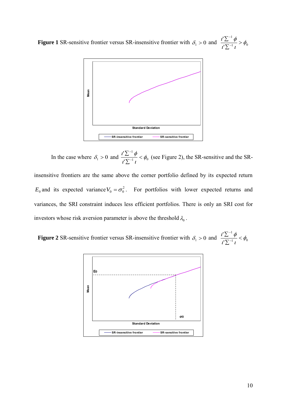**Figure 1** SR-sensitive frontier versus SR-insensitive frontier with  $\delta_1 > 0$  and  $\frac{i}{\epsilon_1} \frac{1}{\epsilon_2} > \phi_0$ 1 ' $\frac{\iota^{\prime} \sum^{-1} \phi}{\iota^{\prime} \sum^{-1} \iota} > \phi_0$  $\frac{i'\sum^{-1}\phi}{\sigma}$  $\sum$ Σ  $\overline{a}$ i,



In the case where  $\delta_1 > 0$  and  $\frac{i}{\sqrt{N-1}} \leq \phi_0$ 1 ' $\frac{d^{\prime}\sum^{-1}\phi}{d^{\prime}\sum^{-1}t}<\phi_0$  $\frac{i'\sum^{-1}\phi}{\sqrt{2\pi}}<$  $\sum$  $\sum$  $\overline{a}$ -(see Figure 2), the SR-sensitive and the SR-

insensitive frontiers are the same above the corner portfolio defined by its expected return  $E_0$  and its expected variance  $V_0 = \sigma_0^2$ . For portfolios with lower expected returns and variances, the SRI constraint induces less efficient portfolios. There is only an SRI cost for investors whose risk aversion parameter is above the threshold  $\lambda_0$ .

**Figure 2** SR-sensitive frontier versus SR-insensitive frontier with  $\delta_1 > 0$  and  $\frac{i}{\epsilon_1} \frac{1}{\sqrt{N-1}} \frac{1}{\epsilon_2} < \phi_0$ 1 '  $\frac{d^{\prime}\sum^{-1}\phi}{d^{\prime}\sum^{-1}l}<\phi_0$  $\frac{i'\sum^{-1}\phi}{\sqrt{2}}$  $\sum$ Σ  $\overline{a}$ i,

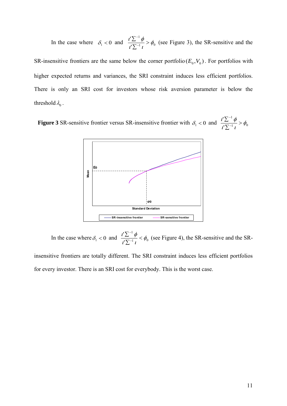In the case where  $\delta_1 < 0$  and  $\frac{i2\omega}{\nu} > \phi_0$ 1 ' $\frac{\iota^{\prime} \sum^{-1} \phi}{\iota^{\prime} \sum^{-1} \iota} > \phi_0$  $\frac{i'\sum^{-1}\phi}{\sigma}$ Σ  $\sum$ - $\overline{a}$ (see Figure 3), the SR-sensitive and the

SR-insensitive frontiers are the same below the corner portfolio  $(E_0, V_0)$ . For portfolios with higher expected returns and variances, the SRI constraint induces less efficient portfolios. There is only an SRI cost for investors whose risk aversion parameter is below the threshold  $\lambda_0$  .

**Figure 3** SR-sensitive frontier versus SR-insensitive frontier with  $\delta_1 < 0$  and  $\frac{i}{\epsilon_1} \frac{1}{\sqrt{N-1}} > \phi_0$ 1 **'**  $\frac{\iota^{\prime} \sum^{-1} \phi}{\iota^{\prime} \sum^{-1} \iota} > \phi_0$  $\frac{i'\sum^{-1}\phi}{i\sum_{i=1}^{n}} >$ Σ Σ  $\overline{a}$ i,



In the case where  $\delta_1 < 0$  and  $\frac{i}{\epsilon_1} \frac{d}{d\sigma} < \phi_0$ 1 ' $\frac{d^{\prime}\sum^{-1}\phi}{d^{\prime}\sum^{-1}t}<\phi_0$  $\frac{i'\sum^{-1}\phi}{\sqrt{2\pi}}<$  $\sum$ Σ  $\overline{a}$ -(see Figure 4), the SR-sensitive and the SR-

insensitive frontiers are totally different. The SRI constraint induces less efficient portfolios for every investor. There is an SRI cost for everybody. This is the worst case.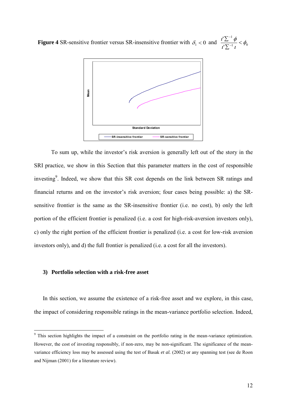**Figure 4** SR-sensitive frontier versus SR-insensitive frontier with  $\delta_1 < 0$  and  $\frac{i}{\epsilon_1} \frac{d}{d\epsilon_2} < \phi_0$ 1 ' $\frac{\iota^{\prime} \sum^{-1} \phi}{\iota^{\prime} \sum^{-1} \iota} < \phi_0$  $\frac{i'\sum^{-1}\phi}{\sqrt{2}}$  $\sum$ Σ  $\overline{a}$ i,



 To sum up, while the investor's risk aversion is generally left out of the story in the SRI practice, we show in this Section that this parameter matters in the cost of responsible investing<sup>9</sup>. Indeed, we show that this SR cost depends on the link between SR ratings and financial returns and on the investor's risk aversion; four cases being possible: a) the SRsensitive frontier is the same as the SR-insensitive frontier (i.e. no cost), b) only the left portion of the efficient frontier is penalized (i.e. a cost for high-risk-aversion investors only), c) only the right portion of the efficient frontier is penalized (i.e. a cost for low-risk aversion investors only), and d) the full frontier is penalized (i.e. a cost for all the investors).

#### **3) Portfolio selection with a risk-free asset**

In this section, we assume the existence of a risk-free asset and we explore, in this case, the impact of considering responsible ratings in the mean-variance portfolio selection. Indeed,

<sup>&</sup>lt;sup>9</sup> This section highlights the impact of a constraint on the portfolio rating in the mean-variance optimization. However, the cost of investing responsibly, if non-zero, may be non-significant. The significance of the meanvariance efficiency loss may be assessed using the test of Basak *et al.* (2002) or any spanning test (see de Roon and Nijman (2001) for a literature review).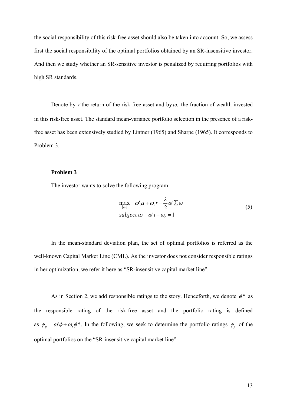the social responsibility of this risk-free asset should also be taken into account. So, we assess first the social responsibility of the optimal portfolios obtained by an SR-insensitive investor. And then we study whether an SR-sensitive investor is penalized by requiring portfolios with high SR standards.

Denote by r the return of the risk-free asset and by  $\omega_r$ , the fraction of wealth invested in this risk-free asset. The standard mean-variance portfolio selection in the presence of a riskfree asset has been extensively studied by Lintner (1965) and Sharpe (1965). It corresponds to Problem 3.

#### **Problem 3**

The investor wants to solve the following program:

$$
\max_{\{o\}} \omega' \mu + \omega_r r - \frac{\lambda}{2} \omega' \Sigma \omega
$$
  
subject to  $\omega' \iota + \omega_r = 1$  (5)

In the mean-standard deviation plan, the set of optimal portfolios is referred as the well-known Capital Market Line (CML). As the investor does not consider responsible ratings in her optimization, we refer it here as "SR-insensitive capital market line".

As in Section 2, we add responsible ratings to the story. Henceforth, we denote  $\phi^*$  as the responsible rating of the risk-free asset and the portfolio rating is defined as  $\phi_p = \omega' \phi + \omega_r \phi^*$ . In the following, we seek to determine the portfolio ratings  $\phi_p$  of the optimal portfolios on the "SR-insensitive capital market line".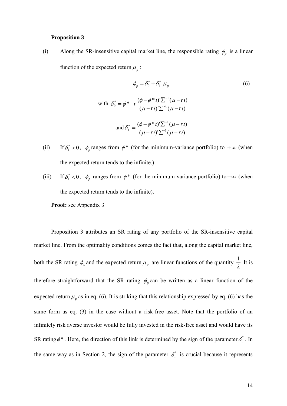#### **Proposition 3**

(i) Along the SR-insensitive capital market line, the responsible rating  $\phi_p$  is a linear function of the expected return  $\mu_p$ :

$$
\phi_p = \delta_0^* + \delta_1^* \mu_p
$$
\n(6)

\n
$$
\text{with } \delta_0^* = \phi^* - r \frac{(\phi - \phi^* \iota') \Sigma^{-1} (\mu - r \iota)}{(\mu - r \iota') \Sigma^{-1} (\mu - r \iota)}
$$
\n
$$
\text{and } \delta_1^* = \frac{(\phi - \phi^* \iota') \Sigma^{-1} (\mu - r \iota)}{(\mu - r \iota') \Sigma^{-1} (\mu - r \iota)}
$$

- $(ii)$  $\delta_1^* > 0$ ,  $\phi_p$  ranges from  $\phi^*$  (for the minimum-variance portfolio) to  $+\infty$  (when the expected return tends to the infinite.)
- $(iii)$  $\delta_1^*$  < 0,  $\phi_p$  ranges from  $\phi^*$  (for the minimum-variance portfolio) to  $-\infty$  (when the expected return tends to the infinite).

**Proof:** see Appendix 3

Proposition 3 attributes an SR rating of any portfolio of the SR-insensitive capital market line. From the optimality conditions comes the fact that, along the capital market line, both the SR rating  $\phi_p$  and the expected return  $\mu_p$  are linear functions of the quantity  $\frac{1}{\lambda}$  $\frac{1}{2}$  It is therefore straightforward that the SR rating  $\phi_p$  can be written as a linear function of the expected return  $\mu_p$  as in eq. (6). It is striking that this relationship expressed by eq. (6) has the same form as eq. (3) in the case without a risk-free asset. Note that the portfolio of an infinitely risk averse investor would be fully invested in the risk-free asset and would have its SR rating  $\phi^*$ . Here, the direction of this link is determined by the sign of the parameter  $\delta_1^*$ . In the same way as in Section 2, the sign of the parameter  $\delta_1^*$  is crucial because it represents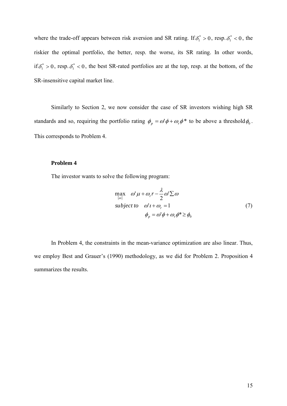where the trade-off appears between risk aversion and SR rating. If  $\delta_1^* > 0$ , resp.  $\delta_1^* < 0$ , the riskier the optimal portfolio, the better, resp. the worse, its SR rating. In other words, if  $\delta_1^* > 0$ , resp.  $\delta_1^* < 0$ , the best SR-rated portfolios are at the top, resp. at the bottom, of the SR-insensitive capital market line.

Similarly to Section 2, we now consider the case of SR investors wishing high SR standards and so, requiring the portfolio rating  $\phi_p = \omega' \phi + \omega_r \phi^*$  to be above a threshold  $\phi_0$ . This corresponds to Problem 4.

#### **Problem 4**

The investor wants to solve the following program:

$$
\max_{\{\omega\}} \omega' \mu + \omega_r r - \frac{\lambda}{2} \omega' \Sigma \omega
$$
  
subject to  $\omega' \nu + \omega_r = 1$   

$$
\phi_p = \omega' \phi + \omega_r \phi^* \ge \phi_0
$$
 (7)

In Problem 4, the constraints in the mean-variance optimization are also linear. Thus, we employ Best and Grauer's (1990) methodology, as we did for Problem 2. Proposition 4 summarizes the results.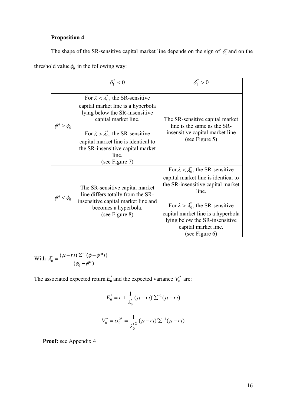# **Proposition 4**

The shape of the SR-sensitive capital market line depends on the sign of  $\delta_1^*$  and on the threshold value  $\phi_0$  in the following way:

|                   | $\delta_{1}^{*}<0$                                                                                                                                                                                                                                                                                      | $\delta_1^* > 0$                                                                                                                                                                                                                                                                                        |
|-------------------|---------------------------------------------------------------------------------------------------------------------------------------------------------------------------------------------------------------------------------------------------------------------------------------------------------|---------------------------------------------------------------------------------------------------------------------------------------------------------------------------------------------------------------------------------------------------------------------------------------------------------|
|                   |                                                                                                                                                                                                                                                                                                         |                                                                                                                                                                                                                                                                                                         |
| $\phi^* > \phi_0$ | For $\lambda < \lambda_0^*$ , the SR-sensitive<br>capital market line is a hyperbola<br>lying below the SR-insensitive<br>capital market line.<br>For $\lambda > \lambda_0^*$ , the SR-sensitive<br>capital market line is identical to<br>the SR-insensitive capital market<br>line.<br>(see Figure 7) | The SR-sensitive capital market<br>line is the same as the SR-<br>insensitive capital market line<br>(see Figure 5)                                                                                                                                                                                     |
| $\phi^*<\phi_0$   | The SR-sensitive capital market<br>line differs totally from the SR-<br>insensitive capital market line and<br>becomes a hyperbola.<br>(see Figure 8)                                                                                                                                                   | For $\lambda < \lambda_0^*$ , the SR-sensitive<br>capital market line is identical to<br>the SR-insensitive capital market<br>line.<br>For $\lambda > \lambda_0^*$ , the SR-sensitive<br>capital market line is a hyperbola<br>lying below the SR-insensitive<br>capital market line.<br>(see Figure 6) |

With 
$$
\lambda_0^* = \frac{(\mu - r \iota') \Sigma^{-1} (\phi - \phi^* \iota)}{(\phi_0 - \phi^*)}
$$

The associated expected return  $E_0^*$  and the expected variance  $V_0^*$  are:

$$
E_0^* = r + \frac{1}{\lambda_0^*} (\mu - rt)^{\prime} \sum_{l} (1 - rt)^{l}
$$

$$
V_0^* = \sigma_0^{2*} = \frac{1}{\lambda_0^{*2}} (\mu - rt)^{\prime} \sum_{l} (1 - rt)^{l}
$$

**Proof:** see Appendix 4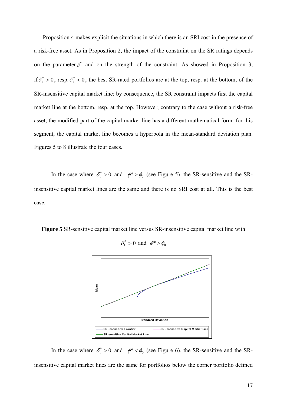Proposition 4 makes explicit the situations in which there is an SRI cost in the presence of a risk-free asset. As in Proposition 2, the impact of the constraint on the SR ratings depends on the parameter  $\delta_1^*$  and on the strength of the constraint. As showed in Proposition 3, if  $\delta_1^* > 0$ , resp.  $\delta_1^* < 0$ , the best SR-rated portfolios are at the top, resp. at the bottom, of the SR-insensitive capital market line: by consequence, the SR constraint impacts first the capital market line at the bottom, resp. at the top. However, contrary to the case without a risk-free asset, the modified part of the capital market line has a different mathematical form: for this segment, the capital market line becomes a hyperbola in the mean-standard deviation plan. Figures 5 to 8 illustrate the four cases.

In the case where  $\delta_1^* > 0$  and  $\phi^* > \phi_0$  (see Figure 5), the SR-sensitive and the SRinsensitive capital market lines are the same and there is no SRI cost at all. This is the best case.

**Figure 5** SR-sensitive capital market line versus SR-insensitive capital market line with



 $\delta_1^* > 0$  and  $\phi^* > \phi_0$ 

In the case where  $\delta_1^* > 0$  and  $\phi^* < \phi_0$  (see Figure 6), the SR-sensitive and the SRinsensitive capital market lines are the same for portfolios below the corner portfolio defined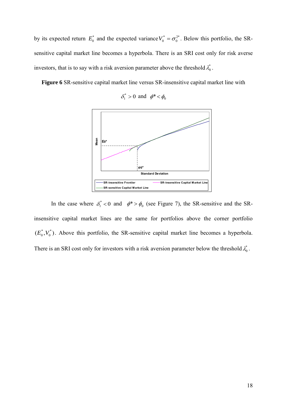by its expected return  $E_0^*$  and the expected variance  $V_0^* = \sigma_0^{2*}$  $V_0^* = \sigma_0^{2*}$ . Below this portfolio, the SRsensitive capital market line becomes a hyperbola. There is an SRI cost only for risk averse investors, that is to say with a risk aversion parameter above the threshold  $\lambda_0^*$ .

**Figure 6** SR-sensitive capital market line versus SR-insensitive capital market line with





In the case where  $\delta_1^* < 0$  and  $\phi^* > \phi_0$  (see Figure 7), the SR-sensitive and the SRinsensitive capital market lines are the same for portfolios above the corner portfolio  $(E_0^*,V_0^*)$ 0  $E_0^*, V_0^*$ ). Above this portfolio, the SR-sensitive capital market line becomes a hyperbola. There is an SRI cost only for investors with a risk aversion parameter below the threshold  $\lambda_0^*$ .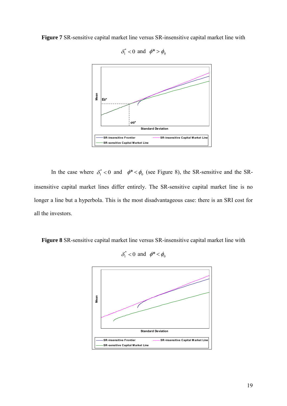**Figure 7** SR-sensitive capital market line versus SR-insensitive capital market line with



 $\delta_1^*$  < 0 and  $\phi^*$  >  $\phi_0$ 

In the case where  $\delta_1^* < 0$  and  $\phi^* < \phi_0$  (see Figure 8), the SR-sensitive and the SRinsensitive capital market lines differ entirely. The SR-sensitive capital market line is no longer a line but a hyperbola. This is the most disadvantageous case: there is an SRI cost for all the investors.

**Figure 8** SR-sensitive capital market line versus SR-insensitive capital market line with

$$
\delta_1^*<0 \ \text{and} \ \phi^*<\phi_0
$$

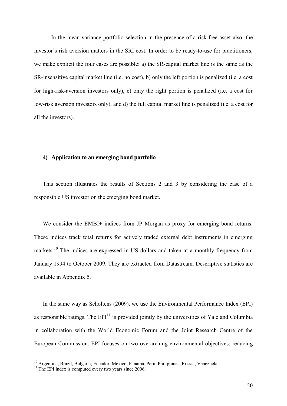In the mean-variance portfolio selection in the presence of a risk-free asset also, the investor's risk aversion matters in the SRI cost. In order to be ready-to-use for practitioners, we make explicit the four cases are possible: a) the SR-capital market line is the same as the SR-insensitive capital market line (i.e. no cost), b) only the left portion is penalized (i.e. a cost for high-risk-aversion investors only), c) only the right portion is penalized (i.e. a cost for low-risk aversion investors only), and d) the full capital market line is penalized (i.e. a cost for all the investors).

#### **4) Application to an emerging bond portfolio**

This section illustrates the results of Sections 2 and 3 by considering the case of a responsible US investor on the emerging bond market.

We consider the EMBI+ indices from JP Morgan as proxy for emerging bond returns. These indices track total returns for actively traded external debt instruments in emerging markets.<sup>10</sup> The indices are expressed in US dollars and taken at a monthly frequency from January 1994 to October 2009. They are extracted from Datastream. Descriptive statistics are available in Appendix 5.

In the same way as Scholtens (2009), we use the Environmental Performance Index (EPI) as responsible ratings. The  $EPI<sup>11</sup>$  is provided jointly by the universities of Yale and Columbia in collaboration with the World Economic Forum and the Joint Research Centre of the European Commission. EPI focuses on two overarching environmental objectives: reducing

-

<sup>&</sup>lt;sup>10</sup> Argentina, Brazil, Bulgaria, Ecuador, Mexico, Panama, Peru, Philippines, Russia, Venezuela.

 $11$ <sup>11</sup> The EPI index is computed every two years since 2006.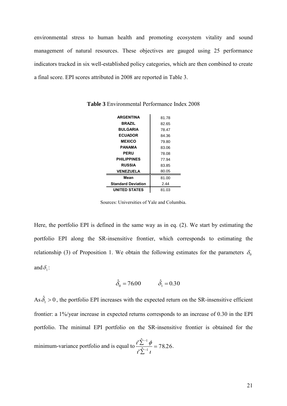environmental stress to human health and promoting ecosystem vitality and sound management of natural resources. These objectives are gauged using 25 performance indicators tracked in six well-established policy categories, which are then combined to create a final score. EPI scores attributed in 2008 are reported in Table 3.

| <b>ARGENTINA</b>          | 81.78 |
|---------------------------|-------|
| <b>BRAZIL</b>             | 82.65 |
| <b>BULGARIA</b>           | 78.47 |
| <b>ECUADOR</b>            | 84.36 |
| <b>MEXICO</b>             | 79.80 |
| PANAMA                    | 83.06 |
| <b>PERU</b>               | 78.08 |
| <b>PHILIPPINES</b>        | 77.94 |
| <b>RUSSIA</b>             | 83.85 |
| <b>VENEZUELA</b>          | 80.05 |
| Mean                      | 81.00 |
| <b>Standard Deviation</b> | 2.44  |
| UNITED STATES             | 81.03 |

**Table 3** Environmental Performance Index 2008

Sources: Universities of Yale and Columbia.

Here, the portfolio EPI is defined in the same way as in eq. (2). We start by estimating the portfolio EPI along the SR-insensitive frontier, which corresponds to estimating the relationship (3) of Proposition 1. We obtain the following estimates for the parameters  $\delta_0$ and  $\delta_i$ :

$$
\hat{\delta}_0 = 76.00
$$
  $\hat{\delta}_1 = 0.30$ 

As  $\hat{\delta}_1 > 0$ , the portfolio EPI increases with the expected return on the SR-insensitive efficient frontier: a 1%/year increase in expected returns corresponds to an increase of 0.30 in the EPI portfolio. The minimal EPI portfolio on the SR-insensitive frontier is obtained for the minimum-variance portfolio and is equal to  $\frac{z}{r^2}$   $\frac{\varphi}{r^2}$  = 78.26  $\cdot \hat{\Sigma}$ 1 1  $=$  $\sum$ Σ  $\overline{a}$  $\overline{a}$  $l$ ,  $l$  $\frac{i'\sum^{-1}\phi}{2} = 78.26.$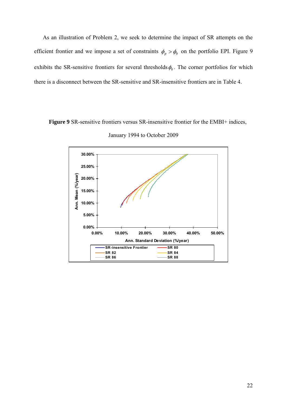As an illustration of Problem 2, we seek to determine the impact of SR attempts on the efficient frontier and we impose a set of constraints  $\phi_p > \phi_0$  on the portfolio EPI. Figure 9 exhibits the SR-sensitive frontiers for several thresholds  $\phi_0$ . The corner portfolios for which there is a disconnect between the SR-sensitive and SR-insensitive frontiers are in Table 4.

**Figure 9** SR-sensitive frontiers versus SR-insensitive frontier for the EMBI+ indices,



January 1994 to October 2009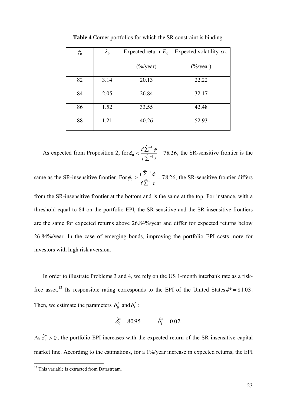| $\phi_{\!\scriptscriptstyle 0}$ | $\lambda_{0}$ | Expected return $E_0$ | Expected volatility $\sigma_0$ |
|---------------------------------|---------------|-----------------------|--------------------------------|
|                                 |               | $(\frac{6}{y}$ ear)   | $(\frac{6}{y}$ ear)            |
| 82                              | 3.14          | 20.13                 | 22.22                          |
| 84                              | 2.05          | 26.84                 | 32.17                          |
| 86                              | 1.52          | 33.55                 | 42.48                          |
| 88                              | 1.21          | 40.26                 | 52.93                          |

**Table 4** Corner portfolios for which the SR constraint is binding

As expected from Proposition 2, for  $\phi_0 < \frac{\epsilon}{l} \frac{\epsilon}{\hat{\Sigma}^{-1}l} = 78.26$  $\frac{1}{\sqrt{\hat{\Sigma}^{-1}}}$ 1  $\phi_0 < \frac{\iota \sum \varphi}{\hat{\mathbf{S}}^{-1}} =$  $\overline{\sum}$  $\langle \frac{i' \sum_{i=1}^{n}}{i \sum_{i=1}^{n}}$  $\overline{a}$  $l$ ,  $l$  $\phi_0 < \frac{i'\sum_{i=1}^{n}\phi}{\hat{z}} = 78.26$ , the SR-sensitive frontier is the

same as the SR-insensitive frontier. For  $\phi_0 > \frac{v \sum \phi}{v \hat{\sum}^{-1} i} = 78.26$  $\frac{1}{\sqrt{\hat{\Sigma}^{-1}}}$ 1  $\phi_0 > \frac{\iota \sum \varphi}{\hat{S}^{-1}} =$  $\sum$  $> \frac{i' \sum^{-1}}{i \hat{\Sigma}^{-1}}$  $l$ ,  $l$  $\phi_0 > \frac{t'\sum_{i=1}^{n} \phi}{2} = 78.26$ , the SR-sensitive frontier differs

from the SR-insensitive frontier at the bottom and is the same at the top. For instance, with a threshold equal to 84 on the portfolio EPI, the SR-sensitive and the SR-insensitive frontiers are the same for expected returns above 26.84%/year and differ for expected returns below 26.84%/year. In the case of emerging bonds, improving the portfolio EPI costs more for investors with high risk aversion.

In order to illustrate Problems 3 and 4, we rely on the US 1-month interbank rate as a riskfree asset.<sup>12</sup> Its responsible rating corresponds to the EPI of the United States  $\phi^* = 81.03$ . Then, we estimate the parameters  $\delta_0^*$  and  $\delta_1^*$ :

$$
\hat{\delta}_0^* = 80.95 \qquad \hat{\delta}_1^* = 0.02
$$

As  $\hat{\delta}_1^* > 0$ , the portfolio EPI increases with the expected return of the SR-insensitive capital market line. According to the estimations, for a 1%/year increase in expected returns, the EPI

-

<sup>&</sup>lt;sup>12</sup> This variable is extracted from Datastream.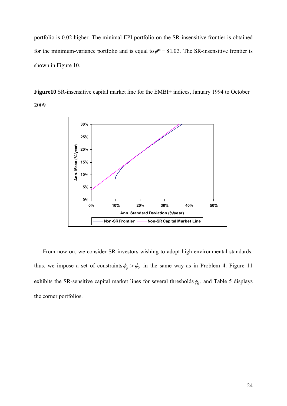portfolio is 0.02 higher. The minimal EPI portfolio on the SR-insensitive frontier is obtained for the minimum-variance portfolio and is equal to  $\phi^* = 81.03$ . The SR-insensitive frontier is shown in Figure 10.

**Figure10** SR-insensitive capital market line for the EMBI+ indices, January 1994 to October 2009



From now on, we consider SR investors wishing to adopt high environmental standards: thus, we impose a set of constraints  $\phi_p > \phi_0$  in the same way as in Problem 4. Figure 11 exhibits the SR-sensitive capital market lines for several thresholds  $\phi_0$ , and Table 5 displays the corner portfolios.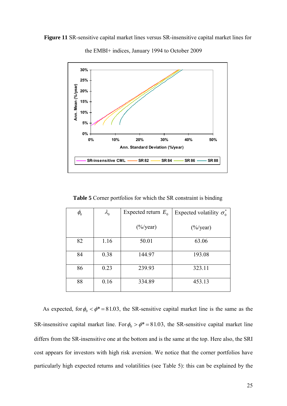



the EMBI+ indices, January 1994 to October 2009

**Table 5** Corner portfolios for which the SR constraint is binding

| $\phi_{\!\scriptscriptstyle 0}$ | $\lambda_{0}$ | Expected return $E_0$ | Expected volatility $\sigma_{0}^{*}$ |
|---------------------------------|---------------|-----------------------|--------------------------------------|
|                                 |               | $(\frac{6}{y}$ ear)   | $(\frac{6}{y}$ ear)                  |
| 82                              | 1.16          | 50.01                 | 63.06                                |
| 84                              | 0.38          | 144.97                | 193.08                               |
| 86                              | 0.23          | 239.93                | 323.11                               |
| 88                              | 0.16          | 334.89                | 453.13                               |

As expected, for  $\phi_0 < \phi^* = 81.03$ , the SR-sensitive capital market line is the same as the SR-insensitive capital market line. For  $\phi_0 > \phi^* = 81.03$ , the SR-sensitive capital market line differs from the SR-insensitive one at the bottom and is the same at the top. Here also, the SRI cost appears for investors with high risk aversion. We notice that the corner portfolios have particularly high expected returns and volatilities (see Table 5): this can be explained by the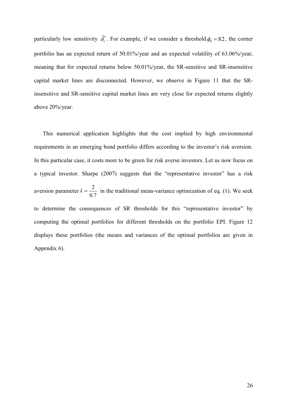particularly low sensitivity  $\hat{\delta}_1^*$  $\hat{\delta}_1^*$ . For example, if we consider a threshold  $\phi_0 = 82$ , the corner portfolio has an expected return of 50.01%/year and an expected volatility of 63.06%/year, meaning that for expected returns below 50.01%/year, the SR-sensitive and SR-insensitive capital market lines are disconnected. However, we observe in Figure 11 that the SRinsensitive and SR-sensitive capital market lines are very close for expected returns slightly above 20%/year.

This numerical application highlights that the cost implied by high environmental requirements in an emerging bond portfolio differs according to the investor's risk aversion. In this particular case, it costs more to be green for risk averse investors. Let us now focus on a typical investor. Sharpe (2007) suggests that the "representative investor" has a risk aversion parameter 7.0  $\lambda = \frac{2}{2\pi}$  in the traditional mean-variance optimization of eq. (1). We seek to determine the consequences of SR thresholds for this "representative investor" by computing the optimal portfolios for different thresholds on the portfolio EPI. Figure 12 displays these portfolios (the means and variances of the optimal portfolios are given in Appendix 6).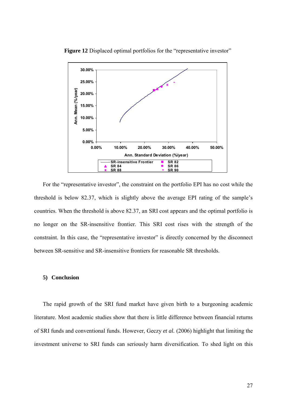

Figure 12 Displaced optimal portfolios for the "representative investor"

For the "representative investor", the constraint on the portfolio EPI has no cost while the threshold is below 82.37, which is slightly above the average EPI rating of the sample's countries. When the threshold is above 82.37, an SRI cost appears and the optimal portfolio is no longer on the SR-insensitive frontier. This SRI cost rises with the strength of the constraint. In this case, the "representative investor" is directly concerned by the disconnect between SR-sensitive and SR-insensitive frontiers for reasonable SR thresholds.

#### **5) Conclusion**

The rapid growth of the SRI fund market have given birth to a burgeoning academic literature. Most academic studies show that there is little difference between financial returns of SRI funds and conventional funds. However, Geczy *et al.* (2006) highlight that limiting the investment universe to SRI funds can seriously harm diversification. To shed light on this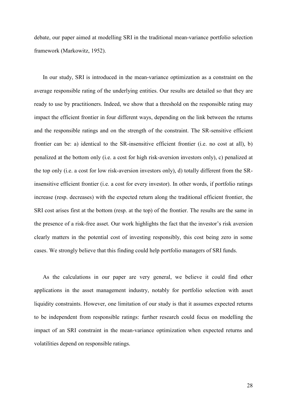debate, our paper aimed at modelling SRI in the traditional mean-variance portfolio selection framework (Markowitz, 1952).

In our study, SRI is introduced in the mean-variance optimization as a constraint on the average responsible rating of the underlying entities. Our results are detailed so that they are ready to use by practitioners. Indeed, we show that a threshold on the responsible rating may impact the efficient frontier in four different ways, depending on the link between the returns and the responsible ratings and on the strength of the constraint. The SR-sensitive efficient frontier can be: a) identical to the SR-insensitive efficient frontier (i.e. no cost at all), b) penalized at the bottom only (i.e. a cost for high risk-aversion investors only), c) penalized at the top only (i.e. a cost for low risk-aversion investors only), d) totally different from the SRinsensitive efficient frontier (i.e. a cost for every investor). In other words, if portfolio ratings increase (resp. decreases) with the expected return along the traditional efficient frontier, the SRI cost arises first at the bottom (resp. at the top) of the frontier. The results are the same in the presence of a risk-free asset. Our work highlights the fact that the investor's risk aversion clearly matters in the potential cost of investing responsibly, this cost being zero in some cases. We strongly believe that this finding could help portfolio managers of SRI funds.

As the calculations in our paper are very general, we believe it could find other applications in the asset management industry, notably for portfolio selection with asset liquidity constraints. However, one limitation of our study is that it assumes expected returns to be independent from responsible ratings: further research could focus on modelling the impact of an SRI constraint in the mean-variance optimization when expected returns and volatilities depend on responsible ratings.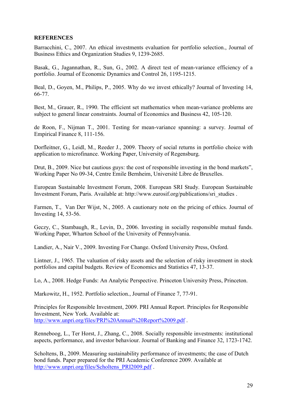### **REFERENCES**

Barracchini, C., 2007. An ethical investments evaluation for portfolio selection., Journal of Business Ethics and Organization Studies 9, 1239-2685.

Basak, G., Jagannathan, R., Sun, G., 2002. A direct test of mean-variance efficiency of a portfolio. Journal of Economic Dynamics and Control 26, 1195-1215.

Beal, D., Goyen, M., Philips, P., 2005. Why do we invest ethically? Journal of Investing 14, 66-77.

Best, M., Grauer, R., 1990. The efficient set mathematics when mean-variance problems are subject to general linear constraints. Journal of Economics and Business 42, 105-120.

de Roon, F., Nijman T., 2001. Testing for mean-variance spanning: a survey. Journal of Empirical Finance 8, 111-156.

Dorfleitner, G., Leidl, M., Reeder J., 2009. Theory of social returns in portfolio choice with application to microfinance. Working Paper, University of Regensburg*.*

Drut, B., 2009. Nice but cautious guys: the cost of responsible investing in the bond markets", Working Paper No 09-34, Centre Emile Bernheim, Université Libre de Bruxelles.

European Sustainable Investment Forum, 2008. European SRI Study. European Sustainable Investment Forum, Paris. Available at: http://www.eurosif.org/publications/sri\_studies .

Farmen, T., Van Der Wijst, N., 2005. A cautionary note on the pricing of ethics. Journal of Investing 14, 53-56.

Geczy, C., Stambaugh, R., Levin, D., 2006. Investing in socially responsible mutual funds. Working Paper, Wharton School of the University of Pennsylvania.

Landier, A., Nair V., 2009. Investing For Change. Oxford University Press, Oxford.

Lintner, J., 1965. The valuation of risky assets and the selection of risky investment in stock portfolios and capital budgets. Review of Economics and Statistics 47, 13-37.

Lo, A., 2008. Hedge Funds: An Analytic Perspective. Princeton University Press, Princeton.

Markowitz, H., 1952. Portfolio selection., Journal of Finance 7, 77-91.

Principles for Responsible Investment, 2009. PRI Annual Report. Principles for Responsible Investment, New York. Available at: <http://www.unpri.org/files/PRI%20Annual%20Report%2009.pdf> .

Renneboog, L., Ter Horst, J., Zhang, C., 2008. Socially responsible investments: institutional aspects, performance, and investor behaviour. Journal of Banking and Finance 32, 1723-1742.

Scholtens, B., 2009. Measuring sustainability performance of investments; the case of Dutch bond funds. Paper prepared for the PRI Academic Conference 2009. Available at [http://www.unpri.org/files/Scholtens\\_PRI2009.pdf](http://www.unpri.org/files/Scholtens_PRI2009.pdf) .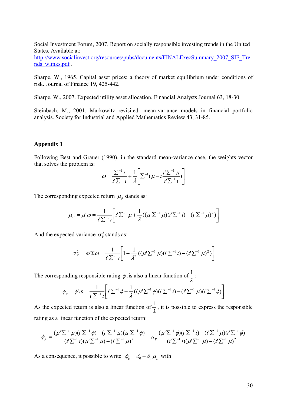Social Investment Forum, 2007. Report on socially responsible investing trends in the United States. Available at:

[http://www.socialinvest.org/resources/pubs/documents/FINALExecSummary\\_2007\\_SIF\\_Tre](http://www.socialinvest.org/resources/pubs/documents/FINALExecSummary_2007_SIF_Trends_wlinks.pdf) [nds\\_wlinks.pdf](http://www.socialinvest.org/resources/pubs/documents/FINALExecSummary_2007_SIF_Trends_wlinks.pdf).

Sharpe, W., 1965. Capital asset prices: a theory of market equilibrium under conditions of risk. Journal of Finance 19, 425-442.

Sharpe, W., 2007. Expected utility asset allocation, Financial Analysts Journal 63, 18-30.

Steinbach, M., 2001. Markowitz revisited: mean-variance models in financial portfolio analysis. Society for Industrial and Applied Mathematics Review 43, 31-85.

#### **Appendix 1**

Following Best and Grauer (1990), in the standard mean-variance case, the weights vector that solves the problem is:

$$
\omega = \frac{\sum_{l=1}^{n} i}{i! \sum_{l=1}^{n} t} + \frac{1}{\lambda} \left[ \sum_{l=1}^{n} (\mu - i \frac{i! \sum_{l=1}^{n} \mu}{i! \sum_{l=1}^{n} t}) \right]
$$

The corresponding expected return  $\mu$ <sub>*P*</sub> stands as:

$$
\mu_P = \mu' \omega = \frac{1}{t' \sum_{i=1}^{n} l} \left[ t' \sum_{i=1}^{n} \mu + \frac{1}{\lambda} ((\mu' \sum_{i=1}^{n} \mu)(t' \sum_{i=1}^{n} t) - (t' \sum_{i=1}^{n} \mu)^2) \right]
$$

And the expected variance  $\sigma_p^2$  stands as:

$$
\sigma_P^2 = \omega' \Sigma \omega = \frac{1}{t' \Sigma^{-1} t} \bigg[ 1 + \frac{1}{\lambda^2} \left( (\mu' \Sigma^{-1} \mu) (t' \Sigma^{-1} t) - (t' \Sigma^{-1} \mu)^2 \right) \bigg]
$$

The corresponding responsible rating  $\phi_p$  is also a linear function of  $\frac{1}{\lambda}$ 

onding responsible rating 
$$
\phi_p
$$
 is also a linear function of  $\frac{1}{\lambda}$ :  
\n
$$
\phi_p = \phi' \omega = \frac{1}{t^{\prime} \sum_{i=1}^{t} t^{\prime}} \left[ t^{\prime} \sum_{i=1}^{t} \phi + \frac{1}{\lambda} ((\mu^{\prime} \sum_{i=1}^{t} \phi)(t^{\prime} \sum_{i=1}^{t} t) - (t^{\prime} \sum_{i=1}^{t} \mu)(t^{\prime} \sum_{i=1}^{t} \phi) \right]
$$

As the expected return is also a linear function of  $\frac{1}{\lambda}$  $\frac{1}{\lambda}$ , it is possible to express the responsible<br>  $\mu_p \frac{(\mu' \Sigma^{-1} \phi)(t' \Sigma^{-1} \iota) - (t' \Sigma^{-1} \mu)(t' \Sigma^{-1} \phi)}{(t' \Sigma^{-1} \iota)(t' \Sigma^{-1} \mu) - (t' \Sigma^{-1} \mu)^2}$ 

As the expected return is also a linear function of 
$$
\frac{1}{\lambda}
$$
, it is possible to express the response  
rating as a linear function of the expected return:  

$$
\phi_p = \frac{(\mu' \Sigma^{-1} \mu)(i' \Sigma^{-1} \phi) - (i' \Sigma^{-1} \mu)(\mu' \Sigma^{-1} \phi)}{(i' \Sigma^{-1} \mu)(i' \Sigma^{-1} \mu) - (i' \Sigma^{-1} \mu)^2} + \mu_p \frac{(\mu' \Sigma^{-1} \phi)(i' \Sigma^{-1} \mu) - (i' \Sigma^{-1} \mu)(i' \Sigma^{-1} \phi)}{(i' \Sigma^{-1} \mu) - (i' \Sigma^{-1} \mu)^2}
$$

As a consequence, it possible to write  $\phi_p = \delta_0 + \delta_1 \mu_p$  with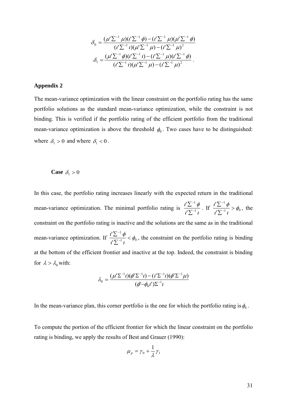$$
\delta_0 = \frac{(\mu' \Sigma^{-1} \mu)(t' \Sigma^{-1} \phi) - (t' \Sigma^{-1} \mu)(\mu' \Sigma^{-1} \phi)}{(t' \Sigma^{-1} \iota)(\mu' \Sigma^{-1} \mu) - (t' \Sigma^{-1} \mu)^2}
$$

$$
\delta_1 = \frac{(\mu' \Sigma^{-1} \phi)(t' \Sigma^{-1} \iota) - (t' \Sigma^{-1} \mu)(t' \Sigma^{-1} \phi)}{(t' \Sigma^{-1} \iota)(\mu' \Sigma^{-1} \mu) - (t' \Sigma^{-1} \mu)^2}.
$$

#### **Appendix 2**

The mean-variance optimization with the linear constraint on the portfolio rating has the same portfolio solutions as the standard mean-variance optimization, while the constraint is not binding. This is verified if the portfolio rating of the efficient portfolio from the traditional mean-variance optimization is above the threshold  $\phi_0$ . Two cases have to be distinguished: where  $\delta_1 > 0$  and where  $\delta_1 < 0$ .

# **Case**  $\delta_1 > 0$

In this case, the portfolio rating increases linearly with the expected return in the traditional mean-variance optimization. The minimal portfolio rating is  $\frac{d}{l} \sum_{i=1}^{n}$  $i'\sum^{-1}\phi$ 1 1 '<u>'∑'</u><br>י' -Σ Σ . If  $\frac{1}{\sqrt{N-1}} > \phi_0$ 1 ' $\frac{\iota^{\prime} \sum^{-1} \phi}{\iota^{\prime} \sum^{-1} \iota} > \phi_0$  $\frac{i'\sum^{-1}\phi}{i\sum_{i=1}^{n}} >$ Σ Σ  $\overline{a}$ i, , the constraint on the portfolio rating is inactive and the solutions are the same as in the traditional mean-variance optimization. If  $\frac{i}{N} \frac{2}{N-1}$   $\neq \phi_0$ 1 ' $\frac{d^{\prime}\sum^{-1}\phi}{d^{\prime}\sum^{-1}t}<\phi_0$  $\frac{i'\sum^{-1}\phi}{i\sum^{-1}} <$  $\sum$  $\sum$  $\overline{a}$ -, the constraint on the portfolio rating is binding at the bottom of the efficient frontier and inactive at the top. Indeed, the constraint is binding for  $\lambda > \lambda_0$  with:

$$
\lambda_0 = \frac{(\mu' \Sigma^{-1} t)(\phi' \Sigma^{-1} t) - (t' \Sigma^{-1} t)(\phi' \Sigma^{-1} \mu)}{(\phi' - \phi_0 t') \Sigma^{-1} t}
$$

In the mean-variance plan, this corner portfolio is the one for which the portfolio rating is  $\phi_0$ .

To compute the portion of the efficient frontier for which the linear constraint on the portfolio rating is binding, we apply the results of Best and Grauer (1990):

$$
\mu_p = \gamma_0 + \frac{1}{\lambda} \gamma_1
$$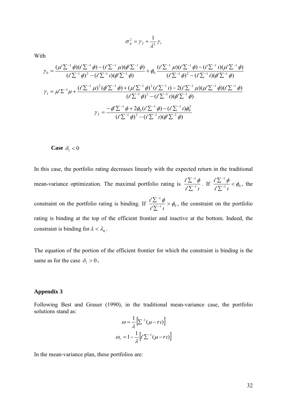With

$$
\sigma_p^2 = \gamma_2 + \frac{1}{\lambda^2} \gamma_1
$$

th  
\n
$$
\mathcal{V}_0 = \frac{(\mu' \Sigma^{-1} \phi)(i' \Sigma^{-1} \phi) - (i' \Sigma^{-1} \mu)(\phi' \Sigma^{-1} \phi)}{(i' \Sigma^{-1} \phi)^2 - (i' \Sigma^{-1} \mu)(\phi' \Sigma^{-1} \phi)} + \phi_0 \frac{(i' \Sigma^{-1} \mu)(i' \Sigma^{-1} \phi) - (i' \Sigma^{-1} \mu)(\mu' \Sigma^{-1} \phi)}{(i' \Sigma^{-1} \phi)^2 - (i' \Sigma^{-1} \mu)(\phi' \Sigma^{-1} \phi)}
$$
\n
$$
\mathcal{V}_1 = \mu' \Sigma^{-1} \mu + \frac{(i' \Sigma^{-1} \mu)^2 (\phi' \Sigma^{-1} \phi) + (\mu' \Sigma^{-1} \phi)^2 (i' \Sigma^{-1} \mu) - 2(i' \Sigma^{-1} \mu)(\mu' \Sigma^{-1} \phi)(i' \Sigma^{-1} \phi)}{(i' \Sigma^{-1} \phi)^2 - (i' \Sigma^{-1} \mu)(\phi' \Sigma^{-1} \phi)}
$$
\n
$$
\mathcal{V}_2 = \frac{-\phi' \Sigma^{-1} \phi + 2\phi_0 (i' \Sigma^{-1} \phi) - (i' \Sigma^{-1} \mu)\phi_0^2}{(i' \Sigma^{-1} \phi)^2 - (i' \Sigma^{-1} \mu)(\phi' \Sigma^{-1} \phi)}
$$

# **Case**  $\delta_1 < 0$

In this case, the portfolio rating decreases linearly with the expected return in the traditional mean-variance optimization. The maximal portfolio rating is  $\frac{d}{l} \sum_{i=1}^{n}$  $i^{\prime}\sum^{-1}\phi$ 1 1 ' <u>'∑'</u><br>"צי -Σ Σ . If  $\frac{1}{\sqrt{N-1}} < \phi_0$ 1 '  $\frac{d^{\prime}\sum^{-1}\phi}{d^{\prime}\sum^{-1}t}<\phi_0$  $\frac{i'\sum^{-1}\phi}{\sqrt{2\pi}}<$ Σ  $\sum$  $\overline{a}$  $\overline{a}$ , the constraint on the portfolio rating is binding. If  $\frac{1}{\sqrt{N-1}} > \phi_0$ 1 ' $\frac{d^{\prime}\sum^{-1}\phi}{d^{\prime}\sum^{-1}t} > \phi_0$  $\frac{i'\sum^{-1}\phi}{i\sum_{i=1}^{n}} >$ Σ Σ  $\overline{a}$  $\overline{a}$ , the constraint on the portfolio rating is binding at the top of the efficient frontier and inactive at the bottom. Indeed, the constraint is binding for  $\lambda < \lambda_0$ .

The equation of the portion of the efficient frontier for which the constraint is binding is the same as for the case  $\delta_1 > 0$ .

#### **Appendix 3**

Following Best and Grauer (1990), in the traditional mean-variance case, the portfolio solutions stand as:  $1 -$ 

$$
\omega = \frac{1}{\lambda} \Big[ \Sigma^{-1} (\mu - rt) \Big]
$$

$$
\omega_r = 1 - \frac{1}{\lambda} \Big[ t' \Sigma^{-1} (\mu - rt) \Big]
$$

In the mean-variance plan, these portfolios are: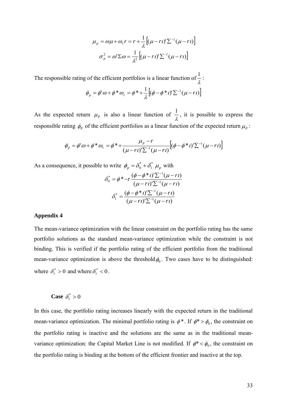$$
\mu_p = \omega \mu + \omega_r r = r + \frac{1}{\lambda} \Big[ (\mu - r \iota)^r \Sigma^{-1} (\mu - r \iota) \Big]
$$

$$
\sigma_p^2 = \omega^r \Sigma \omega = \frac{1}{\lambda^2} \Big[ (\mu - r \iota)^r \Sigma^{-1} (\mu - r \iota) \Big]
$$

The responsible rating of the efficient portfolios is a linear function of  $\frac{1}{\lambda}$  $\frac{1}{2}$ :

$$
\phi_p = \phi' \omega + \phi^* \omega_r = \phi^* + \frac{1}{\lambda} \Big[ (\phi - \phi^* \iota)' \Sigma^{-1} (\mu - r \iota) \Big]
$$

As the expected return  $\mu_{P}$  is also a linear function of  $\frac{1}{\lambda}$  $\frac{1}{2}$ , it is possible to express the

responsible rating 
$$
\phi_p
$$
 of the efficient portfolios as a linear function of the expected return  $\mu_p$ :  
\n
$$
\phi_p = \phi' \omega + \phi^* \omega_r = \phi^* + \frac{\mu_p - r}{(\mu - r \iota) \sum_{i=1}^{n} (\mu - r \iota)} \left[ (\phi - \phi^* \iota)^i \sum_{i=1}^{n} (\mu - r \iota) \right]
$$

As a consequence, it possible to write  $\phi_p = \delta_0^* + \delta_1^* \mu_p$ 1  $=\delta_0^* + \delta_1^*$   $\mu_p$  with

$$
\delta_0^* = \phi^* - r \frac{(\phi - \phi^* \iota')^2 \sum^{-1} (\mu - r\iota)}{(\mu - r\iota')^2 \sum^{-1} (\mu - r\iota)}
$$

$$
\delta_1^* = \frac{(\phi - \phi^* \iota')^2 \sum^{-1} (\mu - r\iota)}{(\mu - r\iota')^2 \sum^{-1} (\mu - r\iota)}
$$

#### **Appendix 4**

The mean-variance optimization with the linear constraint on the portfolio rating has the same portfolio solutions as the standard mean-variance optimization while the constraint is not binding. This is verified if the portfolio rating of the efficient portfolio from the traditional mean-variance optimization is above the threshold  $\phi_0$ . Two cases have to be distinguished: where  $\delta_1^* > 0$  and where  $\delta_1^* < 0$ .

**Case**  $\delta_1^* > 0$ 

 $[(\mu - r\imath)\Sigma^{-1}(\mu - r\imath)]$ <br>
is a linear function of  $\frac{1}{\lambda}$ :<br>  $[\phi - \phi^* \imath \Sigma^{-1}(\mu - r\imath)]$ <br>
is a linear function of  $\frac{1}{\lambda}$ , it is possible to express the<br>
is a linear function of the expected return  $\mu_p$ :<br>
is a linear f In this case, the portfolio rating increases linearly with the expected return in the traditional mean-variance optimization. The minimal portfolio rating is  $\phi^*$ . If  $\phi^* > \phi_0$ , the constraint on the portfolio rating is inactive and the solutions are the same as in the traditional meanvariance optimization: the Capital Market Line is not modified. If  $\phi^* < \phi_0$ , the constraint on the portfolio rating is binding at the bottom of the efficient frontier and inactive at the top.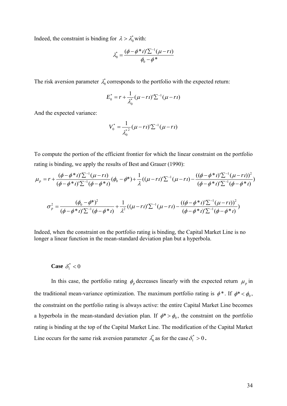Indeed, the constraint is binding for  $\lambda > \lambda_0^*$  with:

$$
\lambda_0^* = \frac{(\phi - \phi^* \iota)^r \sum^{-1} (\mu - r \iota)}{\phi_0 - \phi^*}
$$

The risk aversion parameter  $\lambda_0^*$  corresponds to the portfolio with the expected return:

$$
E_0^* = r + \frac{1}{\lambda_0^*} (\mu - rt)^{\prime} \sum_{i} (\mu - rt)
$$

And the expected variance:

$$
V_0^* = \frac{1}{\lambda_0^{*2}} (\mu - rt)^r \Sigma^{-1} (\mu - rt)
$$

To compute the portion of the efficient frontier for which the linear constraint on the portfolio rating is binding, we apply the results of Best and Grauer (1990):

To compute the portion of the efficient frontier for which the linear constraint on the portfolio  
rating is binding, we apply the results of Best and Grauer (1990):  

$$
\mu_p = r + \frac{(\phi - \phi^* \iota')\sum^{-1}(\mu - r\iota)}{(\phi - \phi^* \iota')\sum^{-1}(\phi - \phi^* \iota)} (\phi_0 - \phi^*) + \frac{1}{\lambda} ((\mu - r\iota')\sum^{-1}(\mu - r\iota) - \frac{((\phi - \phi^* \iota')\sum^{-1}(\mu - r\iota))^2}{(\phi - \phi^* \iota')\sum^{-1}(\phi - \phi^* \iota)}
$$

$$
\sigma_p^2 = \frac{(\phi_0 - \phi^*)^2}{(\phi - \phi^* \iota')\sum^{-1}(\phi - \phi^* \iota)} + \frac{1}{\lambda^2} ((\mu - r\iota')\sum^{-1}(\mu - r\iota) - \frac{((\phi - \phi^* \iota')\sum^{-1}(\mu - r\iota))^2}{(\phi - \phi^* \iota')\sum^{-1}(\phi - \phi^* \iota)}
$$

Indeed, when the constraint on the portfolio rating is binding, the Capital Market Line is no longer a linear function in the mean-standard deviation plan but a hyperbola.

# **Case**  $\delta_1^* < 0$

In this case, the portfolio rating  $\phi_p$  decreases linearly with the expected return  $\mu_p$  in the traditional mean-variance optimization. The maximum portfolio rating is  $\phi^*$ . If  $\phi^* < \phi_0$ , the constraint on the portfolio rating is always active: the entire Capital Market Line becomes a hyperbola in the mean-standard deviation plan. If  $\phi^* > \phi_0$ , the constraint on the portfolio rating is binding at the top of the Capital Market Line. The modification of the Capital Market Line occurs for the same risk aversion parameter  $\lambda_0^*$  as for the case  $\delta_1^* > 0$ .